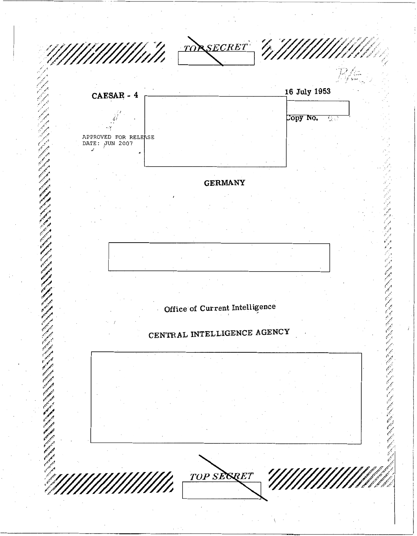TORSECRET 16 July 1953  $CAESAR - 4$ Copy No. 苞 APPROVED FOR RELEASE **GERMANY** しんごんきょうしょうじょうしょう Office of Current Intelligence CENTRAL INTELLIGENCE AGENCY TOP SESRET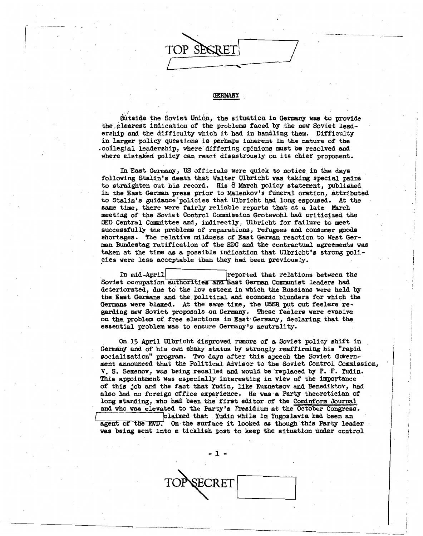

## GERMANY

Outside the Soviet Union, the situation in Germany was to provide the clearest indication of the problems faced by the new Soviet leadership and the difficulty which it had in handling them. Difficulty in **larger** policy question8 is perhaps inherent in the nature of the fcolle& **a1** leadership, **where** differing opinions must be reaolved **and**  where mistaken policy can react disastrously on its chief proponent.

following Stalin's death that Walter Ulbricht **was taking** special **pains to** etraighten out his record, His 8 March policy etatement, published in the East German press prior to Malenkov's funeral oration, attributed to Stalin's guidance'policies that Ulbricht had long espoused. At the *same* time, there were **fairly** reliable report8 that at a late March meeting of the Soviet Control Commiseion Grotewohl had criticized the SED Central Committee and, indirectly, Ulbricht for failure to meet successfully the problems of reparations, refugees and consumer goods shortages. The relative mildness of East German reaction to West Ger**man** Bundestag ratification of the EDC **and** the contractual agreements was taken at the time as a possible indication that Ulbricht's strong poli**ties** were less acceptable than they had been previously. In East Germany, US officials were quick to notice in the days

In mid-April **Example 1** reported that relations between the Soviet occupation authorities and East German Communist leaders had deteriorated, due to the low esteem in which **the** Russians were held by the Eaet **Germans and** the political and econrlmic blunders **for** which the Germans were blamed. At the same time, the USSR put out feelers regarding new Soviet proposals on Germany. These feelers were evasive on the problem of free elections in **Eaat** Germany, declaring that the! essential problem was to ensure Germany's neutrality.

**On 15** April Ulbricht disproved **rumors** of a Soviet policy shift in Germany and of his own shaky status by strongly reaffirming his "rapid socialization" program. Two days after this speech the Soviet Government announced **that** the Political Advisor to the Soviet Control Commission, V. S. Semenov, was being recalled and would be replaced by P. F. Yudin. Thio **appointment was** eepecially interesting in view of the importance of thi8 job **and** the fact that Yudin, like Kuznetaov **and** Benediktov, had also had no foreign office experience. He was a Party theoretician of long standing, who had been the first editor of the Cominform Journal and who was elevated to the Party's Presidium at the October Congress. claimed that Yudin while in Yugoslavia had been an

agent of the MVD. On the surface it looked as though this Party leader **was** being sent into *BL* ticklish poet to keep **the** situation **under** control

Example that Yulmi while in Yugoslavia had been an on the surface it looked as though this Party leader<br>
On the surface it looked as though this Party leader<br>
to a ticklish post to keep the situation under control<br>
TOPSECR

**-1-**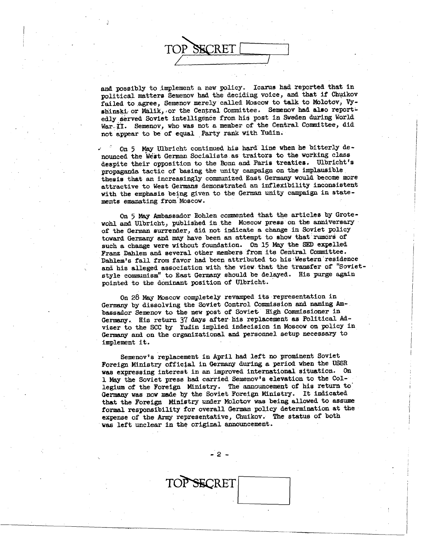and possibly to implement a new policy. Icarus had reported that in political matters Semenov had the deciding voice, and that if Chuikov failed to agree, Semenov merely called Moscow to talk to Molotov, Vyshinski or Malik, or the Central Committee. Semenov had also reportedly served Soviet intelligence from his post in Sweden during World War. II. Semenov, who was not a member of the Central Committee, did not appear to be of equal Party rank with Yudin.

TOP SECRET

On 5 May Ulbricht continued his hard line when he bitterly denounced the West German Socialists as traitors to the working class despite their opposition to the Bonn and Paris treaties. Ulbricht's propaganda tactic of basing the unity campaign on the implausible thesis that an increasingly communized East Germany would become more attractive to West Germans demonstrated an inflexibility inconsistent with the emphasis being given to the German unity campaign in statements emanating from Moscow.

On 5 May Ambassador Bohlen commented that the articles by Grotewohl and Ulbricht, published in the Moscow press on the anniversary of the German surrender, did not indicate a change in Soviet policy toward Germany and may have been an attempt to show that rumors of such a change were without foundation. On 15 May the SED expelled Franz Dahlem and several other members from its Central Committee. Dahlem's fall from favor had been attributed to his Western residence and his alleged association with the view that the transfer of "Sovietstyle communism" to East Germany should be delayed. His purge again pointed to the dominant position of Ulbricht.

On 28 May Moscow completely revamped its representation in Germany by dissolving the Soviet Control Commission and naming Ambassador Semenov to the new post of Soviet High Commissioner in Germany. His return 37 days after his replacement as Political Adviser to the SCC by Yudin implied indecision in Moscow on policy in Germany and on the organizational and personnel setup necessary to implement it.

Semenov's replacement in April had left no prominent Soviet Foreign Ministry official in Germany during a period when the USSR was expressing interest in an improved international situation. On 1 May the Soviet press hed carried Semenov's elevation to the Collegium of the Foreign Ministry. The announcement of his return to Germany was now made by the Soviet Foreign Ministry. It indicated that the Foreign Ministry under Molotov was being allowed to assume formal responsibility for overall German policy determination at the expense of the Army representative, Chuikov. The status of both was left unclear in the original announcement.

-2-

PPSECRET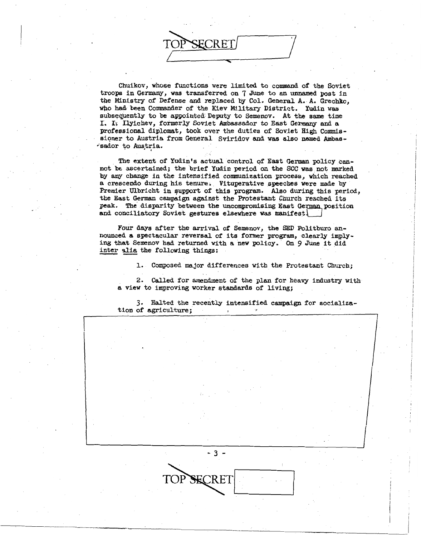Chuikov, whose functions were limited to command of the Soviet troops in *Germany,* **was** transferred on 7 June to an **unnamed** *pst* in **the Ministry** of **Defense** and replaced by Col. General A. **A.** Grechko, who had been Commander of the Kiev Military District. Yudin was subsequently to be appointed Deputy to **Semenov. At** the *same* time I. *5.* Ilyichev, formerly **Soviet Ambassador** *to* **East** Germany **and a professional** diplomat, took over the duties of Soviet High **Commis**sioner to Austria from General Sviridov and was **also namd Ambas** $i$ sador to Austria.

SECR ET

The extent of Yudin's actual control of East German policy cannot be ascertained; the brief Yudin period on the SCC **was** not **marked**  by any change in the intensified communization process, which reached a crescendo during his tenure. Vituperative speeches were **made** by Premier Ulbricht in support of this program. Also during this period, the East German campaign against the Protestant Church reached its peak. The disparity between the uncompromising East German position and conciliatory Soviet gestures elsewhere was manifest

Four **days** after the arrival of **Semenov,** the SED Politburo aning that Semenov had returned with a new policy. On 9 June it did nounced a spectacular reversal of its former program, clearly implyand conclinatory Soviet gestures<br>Four days after the arrival<br>nounced a spectacular reversal of<br>ing that Semenov had returned with<br>inter alia the following things:<br>and composed me ion difference in the composed me ion diffe

**1.**  Composed major differences with the Protestant Church;

 $\left\lfloor \cdot \right\rfloor$ 

2. Called for amendment of the **plan** for heavy industry with a view to improving worker standards of living;

3. Halted the recently intensified campaign for socialization of agriculture;

RE 1

**-3-** 

**L**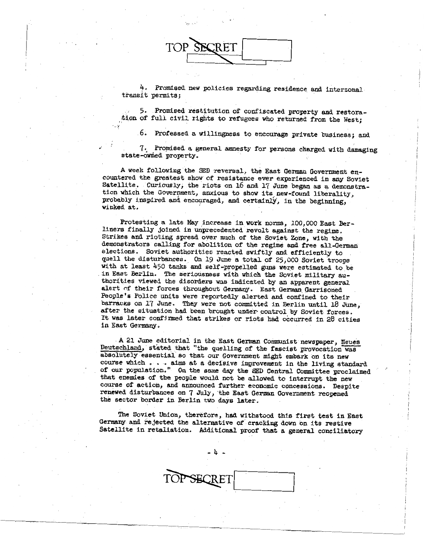*.2* 

4. Promised new policies regarding residence and interzonal transit permits;

, *5.* Promised restitution of confiscated property **and** restoration of fyll civil ri@ts to refugees who returned from the West;

6. Professed a willingness to encourage private business; and

7. Promised a general amnesty for persons charged with damaging state-owned property.

**A** week following the **SED** reversal, the East **German** Government encountered the greatest show of resistance ever experienced in any Soviet Satellite. Curiously, the riots on 16 and 17 June began as a demonstration which the Government, anxious to show its new-found liberality, probably inspired and encouraged, and certainly, in the beginning, winked at.

Protesting a late May increase in work norms, 100,000 East Berliners finally joined in unprecedented revolt against the reghe. Strikes and rioting spread over much of the Soviet Zone, with the demonstrators calling for abolition of the regime and free all-German elections. Soviet authorities reacted swiftly and efficiently to quell the disturbances. On **19** June a total of *25,000* Soviet troops with at least **450** tanks **and** self-propelled guns were estimated to be in East Berlin. The seriousness with which the Soviet military authorities viewed the disorders was indicated by an apparent general alert of their forces throughout **Germany.** East **German** Garrisoned People's Police units were reportedly alerted **and** confined to their barracks on 17 June. They were not committed in Berlin until 18 June, after the situation had been brought **under** control by Soviet forces. It was later confirmed that strikes or riots had occurred in 28 cities in East Germany.

A 21 June editorial in the East German Communist newspaper, Neues Deutschland, stated *that* "the quelling of the faecist provocation **wa5**  absolutely essential. so that our Government might embark on its new course which aims ert *8* decisive improvement in the living standard . . of our population." On the *same* day the **SED** Central Committee proclaimed that enemies of the people **would** not **be** allowed to interrupt the new cour8e of action, **and** announced further economic concessions. Despite renewed disturbances on 7 **July,** the East German Government reopened the sector border in Berlin **two** days later.

The Soviet Union, therefore, had withstood this first test in East Germany and rejected the alternative of cracking **down** on its restive Satellite in retaliation. Additional proof that a **general** conciliatory

 $-4 -$